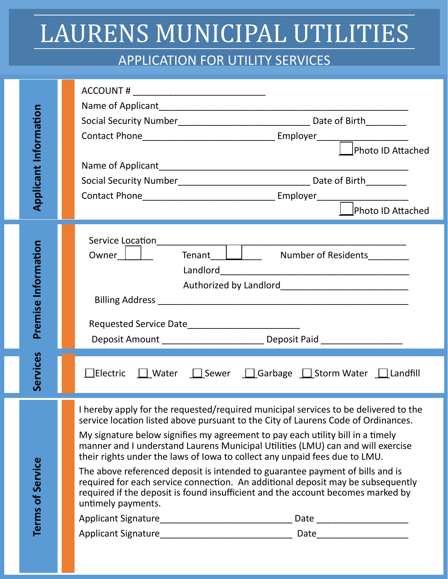## LAURENS MUNICIPAL UTILITIES

## APPLICATION FOR UTILITY SERVICES

| <b>Applicant Information</b> | Photo ID Attached                                                                                                                                                                                                                                                                                                                                                                                                                                                                                                                                                                                                                                                                                        |
|------------------------------|----------------------------------------------------------------------------------------------------------------------------------------------------------------------------------------------------------------------------------------------------------------------------------------------------------------------------------------------------------------------------------------------------------------------------------------------------------------------------------------------------------------------------------------------------------------------------------------------------------------------------------------------------------------------------------------------------------|
|                              | Photo ID Attached                                                                                                                                                                                                                                                                                                                                                                                                                                                                                                                                                                                                                                                                                        |
| Premise Information          | Tenant <u>Dental</u><br>Owner    <br>Number of Residents________<br>Requested Service Date________________________________<br>Deposit Amount _________________________________ Deposit Paid __________________                                                                                                                                                                                                                                                                                                                                                                                                                                                                                           |
| Services                     | <b><u> </u>Electric</b>    Water    Sewer    Garbage    Storm Water    Landfill                                                                                                                                                                                                                                                                                                                                                                                                                                                                                                                                                                                                                          |
| Terms of Service             | I hereby apply for the requested/required municipal services to be delivered to the<br>service location listed above pursuant to the City of Laurens Code of Ordinances.<br>My signature below signifies my agreement to pay each utility bill in a timely<br>manner and I understand Laurens Municipal Utilities (LMU) can and will exercise<br>their rights under the laws of lowa to collect any unpaid fees due to LMU.<br>The above referenced deposit is intended to guarantee payment of bills and is<br>required for each service connection. An additional deposit may be subsequently<br>required if the deposit is found insufficient and the account becomes marked by<br>untimely payments. |